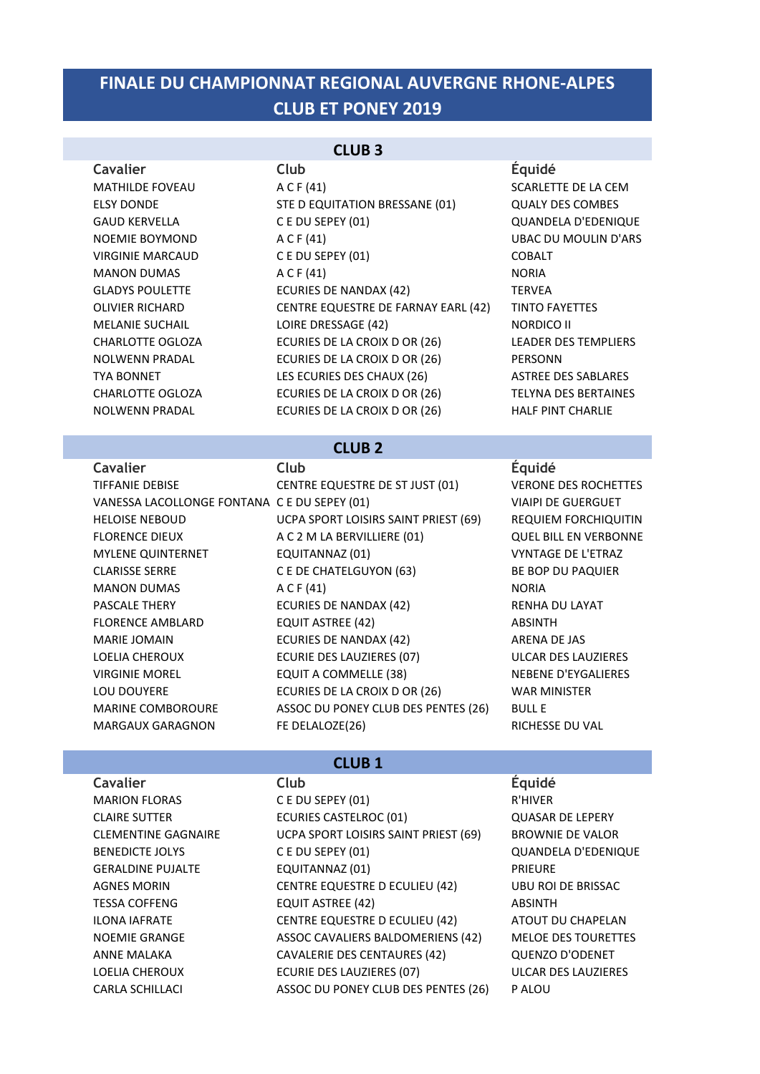## **CLUB ET PONEY 2019 FINALE DU CHAMPIONNAT REGIONAL AUVERGNE RHONE-ALPES**

### **CLUB 3**

MATHILDE FOVEAU A C F (41) A C F (41) SCARLETTE DE LA CEM ELSY DONDE STE D EQUITATION BRESSANE (01) QUALY DES COMBES GAUD KERVELLA 
C E DU SEPEY (01)

C C DUSEPEY (01)

C C DUSEPEY (01)

C C DUSEPEY (01) NOEMIE BOYMOND A C F (41) UBAC DU MOULIN D'ARS VIRGINIE MARCAUD CE DU SEPEY (01) COBALT MANON DUMAS A C F (41) A C H (41) GLADYS POULETTE ECURIES DE NANDAX (42) TERVEA OLIVIER RICHARD **CENTRE EQUESTRE DE FARNAY EARL (42)** TINTO FAYETTES MELANIE SUCHAIL **LOIRE DRESSAGE** (42) NORDICO II CHARLOTTE OGLOZA 
ECURIES DE LA CROIX D OR (26)

LEADER DES TEMPLIERS NOLWENN PRADAL ECURIES DE LA CROIX D OR (26) PERSONN TYA BONNET LES ECURIES DES CHAUX (26) ASTREE DES SABLARES CHARLOTTE OGLOZA **ECURIES DE LA CROIX D OR (26)** TELYNA DES BERTAINES NOLWENN PRADAL **ECURIES DE LA CROIX D OR (26)** HALF PINT CHARLIE

### **Cavalier Club Équidé**

### **CLUB 2**

**Cavalier Club Équidé**

TIFFANIE DEBISE CENTRE EQUESTRE DE ST JUST (01) VERONE DES ROCHETTES VANESSA LACOLLONGE FONTANA C E DU SEPEY (01) VIAIPI DE GUERGUET HELOISE NEBOUD **SEPT A LOIST CONTINENT AND ACCOUNT AND ACCOUNTIVITIVE CONTINUES TO ACCOUNT ACCOUNT ACCOUNT ACCOUNT** FLORENCE DIEUX 
A C 2 M LA BERVILLIERE (01) 
QUEL BILL EN VERBONNE MYLENE QUINTERNET **EQUITANNAZ** (01) **EQUITANNAZ** (01) **EXAMPLE AND A VYNTAGE DE L'ETRAZ** CLARISSE SERRE 

C E DE CHATELGUYON (63)

BE BOP DU PAQUIER MANON DUMAS A C F (41) A RORIA PASCALE THERY **ECURIES DE NANDAX** (42) RENHA DU LAYAT FLORENCE AMBLARD EQUIT ASTREE (42) ABSINTH MARIE JOMAIN **ECURIES DE NANDAX** (42) ARENA DE JAS LOELIA CHEROUX 
ECURIE DES LAUZIERES (07) 
ULCAR DES LAUZIERES VIRGINIE MOREL **EQUIT A COMMELLE (38) INCOMEL SERVITY AND READ AND READ PROPERTY AND READ PROPERTY EQUIT A COMMELLE (38)** LOU DOUYERE EXAMPLES DE LA CROIX D OR (26) WAR MINISTER MARINE COMBOROURE ASSOC DU PONEY CLUB DES PENTES (26) BULL E MARGAUX GARAGNON FE DELALOZE(26) THE RICHESSE DU VAL

### **CLUB 1**

**Cavalier Club Équidé** MARION FLORAS C E DU SEPEY (01) R'HIVER CLAIRE SUTTER **ECURIES CASTELROC** (01) **CLAIRE SUTTER AND REAL EXECUTIVE CONSTRUCT** CLEMENTINE GAGNAIRE **UCPA SPORT LOISIRS SAINT PRIEST (69)** BROWNIE DE VALOR BENEDICTE JOLYS 
CE DU SEPEY (01)

COUANDELA D'EDENIQUE GERALDINE PUJALTE EQUITANNAZ (01) PRIEURE AGNES MORIN CENTRE EQUESTRE D ECULIEU (42) UBU ROI DE BRISSAC TESSA COFFENG **EQUIT ASTREE** (42) **ABSINTH** ILONA IAFRATE CENTRE EQUESTRE D ECULIEU (42) ATOUT DU CHAPELAN NOEMIE GRANGE ASSOC CAVALIERS BALDOMERIENS (42) MELOE DES TOURETTES ANNE MALAKA CAVALERIE DES CENTAURES (42) QUENZO D'ODENET LOELIA CHEROUX 
ECURIE DES LAUZIERES (07) 
ULCAR DES LAUZIERES CARLA SCHILLACI ASSOC DU PONEY CLUB DES PENTES (26) P ALOU